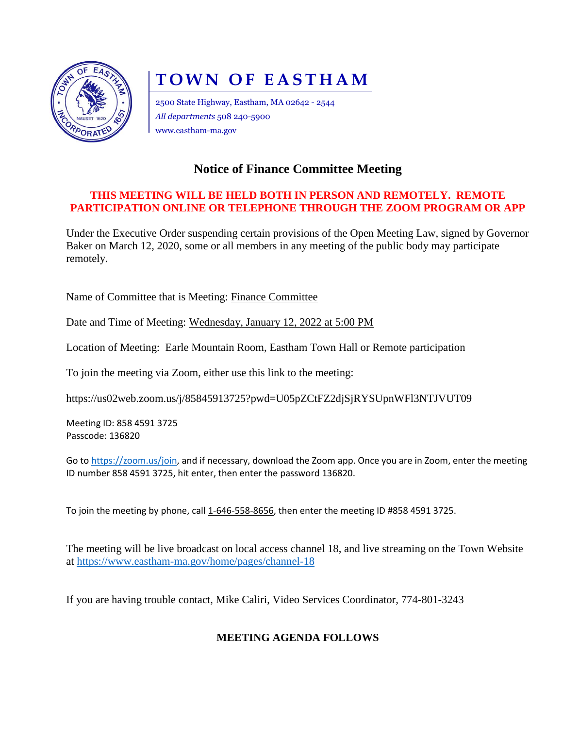

# **TOWN OF EASTHAM**

2500 State Highway, Eastham, MA 02642 - 2544 *All departments* 508 240-5900 www.eastham-ma.gov

## **Notice of Finance Committee Meeting**

#### **THIS MEETING WILL BE HELD BOTH IN PERSON AND REMOTELY. REMOTE PARTICIPATION ONLINE OR TELEPHONE THROUGH THE ZOOM PROGRAM OR APP**

Under the Executive Order suspending certain provisions of the Open Meeting Law, signed by Governor Baker on March 12, 2020, some or all members in any meeting of the public body may participate remotely.

Name of Committee that is Meeting: Finance Committee

Date and Time of Meeting: Wednesday, January 12, 2022 at 5:00 PM

Location of Meeting: Earle Mountain Room, Eastham Town Hall or Remote participation

To join the meeting via Zoom, either use this link to the meeting:

https://us02web.zoom.us/j/85845913725?pwd=U05pZCtFZ2djSjRYSUpnWFl3NTJVUT09

Meeting ID: 858 4591 3725 Passcode: 136820

Go to [https://zoom.us/join,](https://zoom.us/join) and if necessary, download the Zoom app. Once you are in Zoom, enter the meeting ID number 858 4591 3725, hit enter, then enter the password 136820.

To join the meeting by phone, call 1-646-558-8656, then enter the meeting ID #858 4591 3725.

The meeting will be live broadcast on local access channel 18, and live streaming on the Town Website at<https://www.eastham-ma.gov/home/pages/channel-18>

If you are having trouble contact, Mike Caliri, Video Services Coordinator, 774-801-3243

### **MEETING AGENDA FOLLOWS**